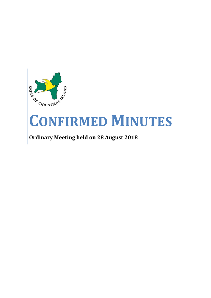

# **CONFIRMED MINUTES**

# **Ordinary Meeting held on 28 August 2018**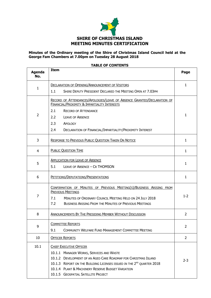

# **Minutes of the Ordinary meeting of the Shire of Christmas Island Council held at the George Fam Chambers at 7.00pm on Tuesday 28 August 2018**

# **Agenda No. Item Page** 1 DECLARATION OF OPENING/ANNOUNCEMENT OF VISITORS 1.1 SHIRE DEPUTY PRESIDENT DECLARED THE MEETING OPEN AT 7.03PM 1  $\overline{2}$ RECORD OF ATTENDANCES/APOLOGIES/LEAVE OF ABSENCE GRANTED/DECLARATION OF FINANCIAL/PROXIMITY & IMPARTIALITY INTERESTS 2.1 RECORD OF ATTENDANCE 2.2 LEAVE OF ABSENCE 2.3 APOLOGY 2.4 DECLARATION OF FINANCIAL/IMPARTIALITY/PROXIMITY INTEREST 1 3 RESPONSE TO PREVIOUS PUBLIC QUESTION TAKEN ON NOTICE 1 1 4 PUBLIC QUESTION TIME 1 5 **APPLICATION FOR LEAVE OF ABSENCE** 5.1 LEAVE OF ABSENCE – CR THOMSON 1 6 PETITIONS/DEPUTATIONS/PRESENTATIONS 1 7 CONFIRMATION OF MINUTES OF PREVIOUS MEETING(S)/BUSINESS ARISING FROM PREVIOUS MEETINGS 7.1 MINUTES OF ORDINARY COUNCIL MEETING HELD ON 24 JULY 2018 7.2 BUSINESS ARISING FROM THE MINUTES OF PREVIOUS MEETINGS  $1 - 2$ 8 ANNOUNCEMENTS BY THE PRESIDING MEMBER WITHOUT DISCUSSION 2 9 COMMITTEE REPORTS 9.1 COMMUNITY WELFARE FUND MANAGEMENT COMMITTEE MEETING 2 10 OFFICER REPORTS 2 10.1 | CHIEF EXECUTIVE OFFICER 10.1.1 MANAGER WORKS, SERVICES AND WASTE 10.1.2 DEVELOPMENT OF AN AGED CARE ROADMAP FOR CHRISTMAS ISLAND 10.1.3 REPORT ON THE BUILDING LICENSES ISSUED IN THE 2<sup>ND</sup> QUARTER 2018 10.1.4 PLANT & MACHINERY RESERVE BUDGET VARIATION 10.1.5 GEOSPATIAL SATELLITE PROJECT 2-3

#### **TABLE OF CONTENTS**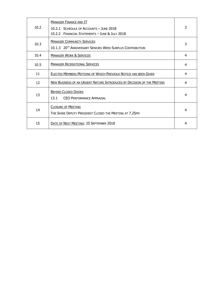| 10.2 | <b>MANAGER FINANCE AND IT</b><br>10.2.1 SCHEDULE OF ACCOUNTS - JUNE 2018<br>10.2.2 FINANCIAL STATEMENTS - JUNE & JULY 2018 | 3 |
|------|----------------------------------------------------------------------------------------------------------------------------|---|
| 10.3 | <b>MANAGER COMMUNITY SERVICES</b><br>10.1.3 20 <sup>TH</sup> ANNIVERSARY SENIORS WEEK SURPLUS CONTRIBUTION                 | 3 |
| 10.4 | <b>MANAGER WORK &amp; SERVICES</b>                                                                                         | 4 |
| 10.5 | <b>MANAGER RECREATIONAL SERVICES</b>                                                                                       | 4 |
| 11   | <b>ELECTED MEMBERS MOTIONS OF WHICH PREVIOUS NOTICE HAS BEEN GIVEN</b>                                                     | 4 |
| 12   | NEW BUSINESS OF AN URGENT NATURE INTRODUCED BY DECISION OF THE MEETING                                                     | 4 |
| 13   | <b>BEHIND CLOSED DOORS</b><br>13.1<br>CEO PERFORMANCE APPRAISAL                                                            | 4 |
| 14   | <b>CLOSURE OF MEETING</b><br>THE SHIRE DEPUTY PRESIDENT CLOSED THE MEETING AT 7.25PM                                       | 4 |
| 15   | DATE OF NEXT MEETING: 25 SEPTEMBER 2018                                                                                    | 4 |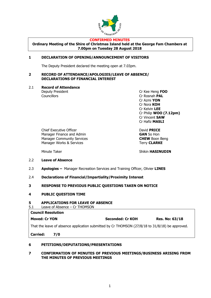

#### **CONFIRMED MINUTES**

**Ordinary Meeting of the Shire of Christmas Island held at the George Fam Chambers at 7.00pm on Tuesday 28 August 2018**

# **1 DECLARATION OF OPENING/ANNOUNCEMENT OF VISITORS**

The Deputy President declared the meeting open at 7.03pm.

## **2 RECORD OF ATTENDANCE/APOLOGIES/LEAVE OF ABSENCE/ DECLARATIONS OF FINANCIAL INTEREST**

2.1 **Record of Attendance**

Deputy President Cr Kee Heng **FOO** Councillors Cr Rosnah **PAL** Cr Azmi **YON** Cr Nora **KOH** Cr Kelvin **LEE** Cr Philip **WOO (7.12pm)** Cr Vincent **SAW** Cr Hafiz **MASLI**

Chief Executive Officer David **PRICE** Manager Finance and Admin **GAN** So Hon Manager Community Services **CHEW** Boon Beng Manager Works & Services Terry **CLARKE** 

Minute Taker **Shikin HASINUDIN** 

# 2.2 **Leave of Absence**

- 2.3 **Apologies –** Manager Recreation Services and Training Officer, Olivier **LINES**
- 2.4 **Declarations of Financial/Impartiality/Proximity Interest**
- **3 RESPONSE TO PREVIOUS PUBLIC QUESTIONS TAKEN ON NOTICE**

# **4 PUBLIC QUESTION TIME**

# **5 APPLICATIONS FOR LEAVE OF ABSENCE**

5.1 Leave of Absence – Cr THOMSON

| <b>Council Resolution</b>                                                                       |                  |                       |
|-------------------------------------------------------------------------------------------------|------------------|-----------------------|
| <b>Moved: Cr YON</b>                                                                            | Seconded: Cr KOH | <b>Res. No: 63/18</b> |
| That the leave of absence application submitted by Cr THOMSON (27/8/18 to 31/8/18) be approved. |                  |                       |

**Carried: 7/0**

# **6 PETITIONS/DEPUTATIONS/PRESENTATIONS**

# **7 CONFIRMATION OF MINUTES OF PREVIOUS MEETINGS/BUSINESS ARISING FROM THE MINUTES OF PREVIOUS MEETINGS**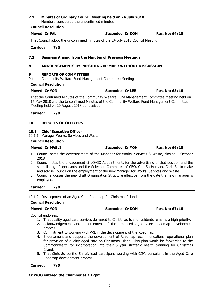## **7.1 Minutes of Ordinary Council Meeting held on 24 July 2018** Members considered the unconfirmed minutes.

|                                                                                                 | <b>Council Resolution</b>                            |                                                                                                                                                                                             |                       |  |  |  |
|-------------------------------------------------------------------------------------------------|------------------------------------------------------|---------------------------------------------------------------------------------------------------------------------------------------------------------------------------------------------|-----------------------|--|--|--|
| <b>Moved: Cr PAL</b>                                                                            |                                                      | Seconded: Cr KOH                                                                                                                                                                            | <b>Res. No: 64/18</b> |  |  |  |
|                                                                                                 |                                                      | That Council adopt the unconfirmed minutes of the 24 July 2018 Council Meeting.                                                                                                             |                       |  |  |  |
| <b>Carried:</b>                                                                                 | 7/0                                                  |                                                                                                                                                                                             |                       |  |  |  |
| 7.2                                                                                             |                                                      | <b>Business Arising from the Minutes of Previous Meetings</b>                                                                                                                               |                       |  |  |  |
| 8                                                                                               | ANNOUNCEMENTS BY PRESIDING MEMBER WITHOUT DISCUSSION |                                                                                                                                                                                             |                       |  |  |  |
| 9<br><b>REPORTS OF COMMITTEES</b><br>9.1<br>Community Welfare Fund Management Committee Meeting |                                                      |                                                                                                                                                                                             |                       |  |  |  |
|                                                                                                 | <b>Council Resolution</b>                            |                                                                                                                                                                                             |                       |  |  |  |
| <b>Moved: Cr YON</b>                                                                            |                                                      | <b>Seconded: Cr LEE</b>                                                                                                                                                                     | <b>Res. No: 65/18</b> |  |  |  |
|                                                                                                 | Meeting held on 20 August 2018 be received.          | That the Confirmed Minutes of the Community Welfare Fund Management Committee Meeting held on<br>17 May 2018 and the Unconfirmed Minutes of the Community Welfare Fund Management Committee |                       |  |  |  |

**Carried: 7/0**

# **10 REPORTS OF OFFICERS**

# **10.1 Chief Executive Officer**

10.1.1 Manager Works, Services and Waste

## **Council Resolution**

#### **Moved: Cr MASLI Seconded: Cr YON Res. No: 66/18**

- 1. Council notes the advertisement of the Manager for Works, Services & Waste, closing 1 October 2018
- 2. Council notes the engagement of LO-GO Appointments for the advertising of that position and the short listing of applicants and the Selection Committee of CEO, Gan So Hon and Chris Su to make and advise Council on the employment of the new Manager for Works, Services and Waste.
- 3. Council endorses the new draft Organisation Structure effective from the date the new manager is employed.

**Carried: 7/0**

10.1.2 Development of an Aged Care Roadmap for Christmas Island

# **Council Resolution**

# **Moved: Cr YON Seconded: Cr KOH Res. No: 67/18**

Council endorses:

- 1. That quality aged care services delivered to Christmas Island residents remains a high priority.
- 2. Acknowledgement and endorsement of the proposed Aged Care Roadmap development process.
- 3. Commitment to working with PRL in the development of the Roadmap.
- 4. Endorsement and supports the development of Roadmap recommendations, operational plan for provision of quality aged care on Christmas Island. This plan would be forwarded to the Commonwealth for incorporation into their 5 year strategic health planning for Christmas Island.
- 5. That Chris Su be the Shire's lead participant working with CIP's consultant in the Aged Care Roadmap development process.

**Carried: 7/0**

# **Cr WOO entered the Chamber at 7.12pm**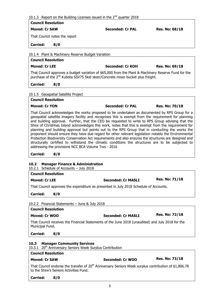|  |  |  |  |  | 10.1.3 Report on the Building Licenses issued in the $2^{nd}$ quarter 2018 |  |  |  |  |  |  |
|--|--|--|--|--|----------------------------------------------------------------------------|--|--|--|--|--|--|
|--|--|--|--|--|----------------------------------------------------------------------------|--|--|--|--|--|--|

| <b>Council Resolution</b>                                                                                            |                                         |                                                                                                                                                                                                                                                                                                                                                                                                                                                                                                                                                                                                                                                                                                                                                                                                      |                       |  |  |
|----------------------------------------------------------------------------------------------------------------------|-----------------------------------------|------------------------------------------------------------------------------------------------------------------------------------------------------------------------------------------------------------------------------------------------------------------------------------------------------------------------------------------------------------------------------------------------------------------------------------------------------------------------------------------------------------------------------------------------------------------------------------------------------------------------------------------------------------------------------------------------------------------------------------------------------------------------------------------------------|-----------------------|--|--|
| <b>Moved: Cr SAW</b>                                                                                                 |                                         | <b>Seconded: Cr PAL</b>                                                                                                                                                                                                                                                                                                                                                                                                                                                                                                                                                                                                                                                                                                                                                                              | <b>Res. No: 68/18</b> |  |  |
|                                                                                                                      | That Council notes the report           |                                                                                                                                                                                                                                                                                                                                                                                                                                                                                                                                                                                                                                                                                                                                                                                                      |                       |  |  |
| <b>Carried:</b>                                                                                                      | 8/0                                     |                                                                                                                                                                                                                                                                                                                                                                                                                                                                                                                                                                                                                                                                                                                                                                                                      |                       |  |  |
|                                                                                                                      |                                         | 10.1.4 Plant & Machinery Reserve Budget Variation                                                                                                                                                                                                                                                                                                                                                                                                                                                                                                                                                                                                                                                                                                                                                    |                       |  |  |
| <b>Council Resolution</b>                                                                                            |                                         |                                                                                                                                                                                                                                                                                                                                                                                                                                                                                                                                                                                                                                                                                                                                                                                                      |                       |  |  |
| <b>Moved: Cr LEE</b>                                                                                                 |                                         | Seconded: Cr KOH                                                                                                                                                                                                                                                                                                                                                                                                                                                                                                                                                                                                                                                                                                                                                                                     | Res. No: 69/18        |  |  |
|                                                                                                                      |                                         | That Council approves a budget variation of \$65,000 from the Plant & Machinery Reserve Fund for the<br>purchase of the 2 <sup>nd</sup> Kubota SSV75 Skid steer/Concrete mixer bucket plus freight.                                                                                                                                                                                                                                                                                                                                                                                                                                                                                                                                                                                                  |                       |  |  |
| <b>Carried:</b>                                                                                                      | 8/0                                     |                                                                                                                                                                                                                                                                                                                                                                                                                                                                                                                                                                                                                                                                                                                                                                                                      |                       |  |  |
| 10.1.5 Geospatial Satellite Project                                                                                  |                                         |                                                                                                                                                                                                                                                                                                                                                                                                                                                                                                                                                                                                                                                                                                                                                                                                      |                       |  |  |
| <b>Council Resolution</b>                                                                                            |                                         |                                                                                                                                                                                                                                                                                                                                                                                                                                                                                                                                                                                                                                                                                                                                                                                                      |                       |  |  |
| <b>Moved: Cr YON</b>                                                                                                 |                                         | <b>Seconded: Cr PAL</b>                                                                                                                                                                                                                                                                                                                                                                                                                                                                                                                                                                                                                                                                                                                                                                              | <b>Res. No: 70/18</b> |  |  |
|                                                                                                                      |                                         | geospatial satellite imagery facility and recognises this is exempt from the requirement for planning<br>and building approval. Further, that the CEO be requested to write to RPS Group advising that the<br>Shire of Christmas Island acknowledges this work, notes that this is exempt from the requirement for<br>planning and building approval but points out to the RPS Group that in conducting the works the<br>proponent should ensure they have due regard for other relevant legislation notably the Environmental<br>Protection Biodiversity Conservation Act requirements and also ensures the structures are designed and<br>structurally certified to withstand the climatic conditions the structures are to be subjected to<br>addressing the provisions NCC BCA Volume Two - 2016 |                       |  |  |
| <b>Carried:</b>                                                                                                      | 8/0                                     |                                                                                                                                                                                                                                                                                                                                                                                                                                                                                                                                                                                                                                                                                                                                                                                                      |                       |  |  |
| 10.2<br>10.2.1                                                                                                       |                                         | <b>Manager Finance &amp; Administration</b><br>Schedule of Accounts - July 2018                                                                                                                                                                                                                                                                                                                                                                                                                                                                                                                                                                                                                                                                                                                      |                       |  |  |
| <b>Council Resolution</b>                                                                                            |                                         |                                                                                                                                                                                                                                                                                                                                                                                                                                                                                                                                                                                                                                                                                                                                                                                                      |                       |  |  |
| <b>Moved: Cr LEE</b>                                                                                                 |                                         | <b>Seconded: Cr MASLI</b>                                                                                                                                                                                                                                                                                                                                                                                                                                                                                                                                                                                                                                                                                                                                                                            | <b>Res. No: 71/18</b> |  |  |
|                                                                                                                      |                                         | That Council approves the expenditure as presented in July 2018 Schedule of Accounts.                                                                                                                                                                                                                                                                                                                                                                                                                                                                                                                                                                                                                                                                                                                |                       |  |  |
| <b>Carried:</b>                                                                                                      | 8/0                                     |                                                                                                                                                                                                                                                                                                                                                                                                                                                                                                                                                                                                                                                                                                                                                                                                      |                       |  |  |
|                                                                                                                      |                                         | 10.2.2 Financial Statements - June & July 2018                                                                                                                                                                                                                                                                                                                                                                                                                                                                                                                                                                                                                                                                                                                                                       |                       |  |  |
| <b>Council Resolution</b>                                                                                            |                                         |                                                                                                                                                                                                                                                                                                                                                                                                                                                                                                                                                                                                                                                                                                                                                                                                      |                       |  |  |
| Moved: Cr WOO                                                                                                        |                                         | <b>Seconded: Cr MASLI</b>                                                                                                                                                                                                                                                                                                                                                                                                                                                                                                                                                                                                                                                                                                                                                                            | <b>Res. No: 72/18</b> |  |  |
| That Council receives the Financial Statements of the June 2018 (unaudited) and July 2018 for the<br>Municipal Fund. |                                         |                                                                                                                                                                                                                                                                                                                                                                                                                                                                                                                                                                                                                                                                                                                                                                                                      |                       |  |  |
| <b>Carried:</b>                                                                                                      | 8/0                                     |                                                                                                                                                                                                                                                                                                                                                                                                                                                                                                                                                                                                                                                                                                                                                                                                      |                       |  |  |
| 10.3                                                                                                                 |                                         | <b>Manager Community Services</b><br>10.3.1 20 <sup>th</sup> Anniversary Seniors Week Surplus Contribution                                                                                                                                                                                                                                                                                                                                                                                                                                                                                                                                                                                                                                                                                           |                       |  |  |
| <b>Council Resolution</b>                                                                                            |                                         |                                                                                                                                                                                                                                                                                                                                                                                                                                                                                                                                                                                                                                                                                                                                                                                                      |                       |  |  |
| <b>Moved: Cr SAW</b>                                                                                                 |                                         | <b>Seconded: Cr WOO</b>                                                                                                                                                                                                                                                                                                                                                                                                                                                                                                                                                                                                                                                                                                                                                                              | <b>Res. No: 73/18</b> |  |  |
|                                                                                                                      | to the Shire's Seniors Activities Fund. | That Council endorse the transfer of $20th$ Anniversary Seniors Week surplus contribution of \$1,806.78                                                                                                                                                                                                                                                                                                                                                                                                                                                                                                                                                                                                                                                                                              |                       |  |  |
| <b>Carried:</b>                                                                                                      | 8/0                                     |                                                                                                                                                                                                                                                                                                                                                                                                                                                                                                                                                                                                                                                                                                                                                                                                      |                       |  |  |